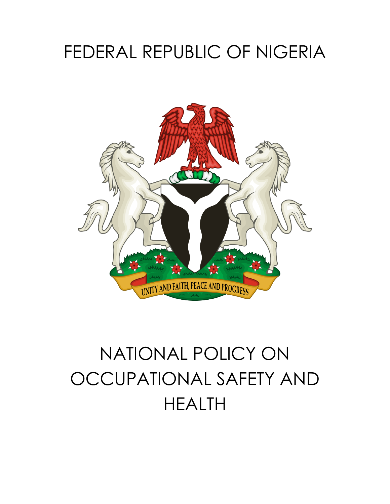# FEDERAL REPUBLIC OF NIGERIA



# NATIONAL POLICY ON OCCUPATIONAL SAFETY AND HEALTH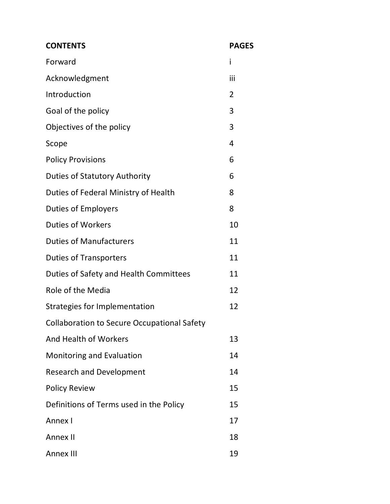| <b>CONTENTS</b>                                    | <b>PAGES</b>   |
|----------------------------------------------------|----------------|
| Forward                                            | i              |
| Acknowledgment                                     | iii            |
| Introduction                                       | $\overline{2}$ |
| Goal of the policy                                 | 3              |
| Objectives of the policy                           | 3              |
| Scope                                              | 4              |
| <b>Policy Provisions</b>                           | 6              |
| <b>Duties of Statutory Authority</b>               | 6              |
| Duties of Federal Ministry of Health               | 8              |
| <b>Duties of Employers</b>                         | 8              |
| <b>Duties of Workers</b>                           | 10             |
| <b>Duties of Manufacturers</b>                     | 11             |
| <b>Duties of Transporters</b>                      | 11             |
| Duties of Safety and Health Committees             | 11             |
| Role of the Media                                  | 12             |
| <b>Strategies for Implementation</b>               | 12             |
| <b>Collaboration to Secure Occupational Safety</b> |                |
| And Health of Workers                              | 13             |
| Monitoring and Evaluation                          | 14             |
| <b>Research and Development</b>                    | 14             |
| <b>Policy Review</b>                               | 15             |
| Definitions of Terms used in the Policy            | 15             |
| Annex I                                            | 17             |
| Annex II                                           | 18             |
| <b>Annex III</b>                                   | 19             |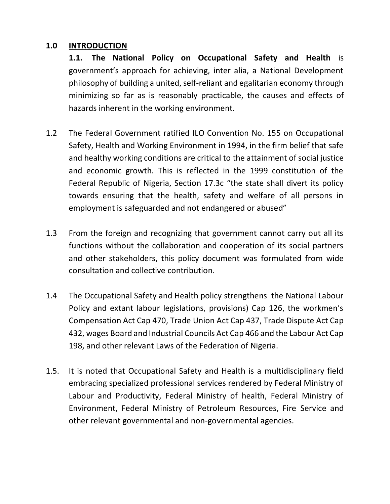#### **1.0 INTRODUCTION**

**1.1. The National Policy on Occupational Safety and Health** is government's approach for achieving, inter alia, a National Development philosophy of building a united, self-reliant and egalitarian economy through minimizing so far as is reasonably practicable, the causes and effects of hazards inherent in the working environment.

- 1.2 The Federal Government ratified ILO Convention No. 155 on Occupational Safety, Health and Working Environment in 1994, in the firm belief that safe and healthy working conditions are critical to the attainment of social justice and economic growth. This is reflected in the 1999 constitution of the Federal Republic of Nigeria, Section 17.3c "the state shall divert its policy towards ensuring that the health, safety and welfare of all persons in employment is safeguarded and not endangered or abused"
- 1.3 From the foreign and recognizing that government cannot carry out all its functions without the collaboration and cooperation of its social partners and other stakeholders, this policy document was formulated from wide consultation and collective contribution.
- 1.4 The Occupational Safety and Health policy strengthens the National Labour Policy and extant labour legislations, provisions) Cap 126, the workmen's Compensation Act Cap 470, Trade Union Act Cap 437, Trade Dispute Act Cap 432, wages Board and Industrial Councils Act Cap 466 and the Labour Act Cap 198, and other relevant Laws of the Federation of Nigeria.
- 1.5. It is noted that Occupational Safety and Health is a multidisciplinary field embracing specialized professional services rendered by Federal Ministry of Labour and Productivity, Federal Ministry of health, Federal Ministry of Environment, Federal Ministry of Petroleum Resources, Fire Service and other relevant governmental and non-governmental agencies.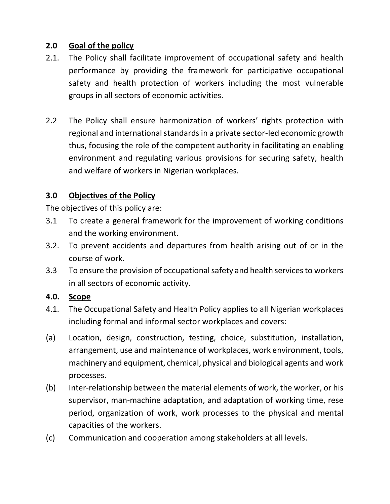#### **2.0 Goal of the policy**

- 2.1. The Policy shall facilitate improvement of occupational safety and health performance by providing the framework for participative occupational safety and health protection of workers including the most vulnerable groups in all sectors of economic activities.
- 2.2 The Policy shall ensure harmonization of workers' rights protection with regional and international standards in a private sector-led economic growth thus, focusing the role of the competent authority in facilitating an enabling environment and regulating various provisions for securing safety, health and welfare of workers in Nigerian workplaces.

#### **3.0 Objectives of the Policy**

The objectives of this policy are:

- 3.1 To create a general framework for the improvement of working conditions and the working environment.
- 3.2. To prevent accidents and departures from health arising out of or in the course of work.
- 3.3 To ensure the provision of occupational safety and health services to workers in all sectors of economic activity.

#### **4.0. Scope**

- 4.1. The Occupational Safety and Health Policy applies to all Nigerian workplaces including formal and informal sector workplaces and covers:
- (a) Location, design, construction, testing, choice, substitution, installation, arrangement, use and maintenance of workplaces, work environment, tools, machinery and equipment, chemical, physical and biological agents and work processes.
- (b) Inter-relationship between the material elements of work, the worker, or his supervisor, man-machine adaptation, and adaptation of working time, rese period, organization of work, work processes to the physical and mental capacities of the workers.
- (c) Communication and cooperation among stakeholders at all levels.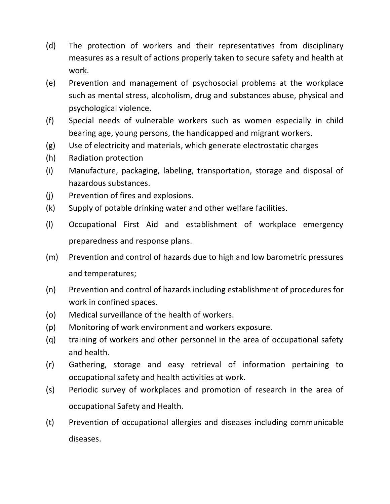- (d) The protection of workers and their representatives from disciplinary measures as a result of actions properly taken to secure safety and health at work.
- (e) Prevention and management of psychosocial problems at the workplace such as mental stress, alcoholism, drug and substances abuse, physical and psychological violence.
- (f) Special needs of vulnerable workers such as women especially in child bearing age, young persons, the handicapped and migrant workers.
- (g) Use of electricity and materials, which generate electrostatic charges
- (h) Radiation protection
- (i) Manufacture, packaging, labeling, transportation, storage and disposal of hazardous substances.
- (j) Prevention of fires and explosions.
- (k) Supply of potable drinking water and other welfare facilities.
- (l) Occupational First Aid and establishment of workplace emergency preparedness and response plans.
- (m) Prevention and control of hazards due to high and low barometric pressures and temperatures;
- (n) Prevention and control of hazards including establishment of procedures for work in confined spaces.
- (o) Medical surveillance of the health of workers.
- (p) Monitoring of work environment and workers exposure.
- (q) training of workers and other personnel in the area of occupational safety and health.
- (r) Gathering, storage and easy retrieval of information pertaining to occupational safety and health activities at work.
- (s) Periodic survey of workplaces and promotion of research in the area of occupational Safety and Health.
- (t) Prevention of occupational allergies and diseases including communicable diseases.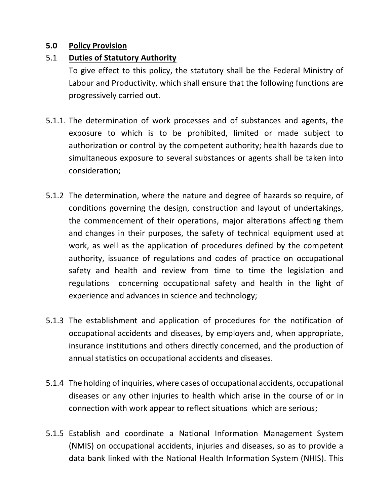#### **5.0 Policy Provision**

#### 5.1 **Duties of Statutory Authority**

To give effect to this policy, the statutory shall be the Federal Ministry of Labour and Productivity, which shall ensure that the following functions are progressively carried out.

- 5.1.1. The determination of work processes and of substances and agents, the exposure to which is to be prohibited, limited or made subject to authorization or control by the competent authority; health hazards due to simultaneous exposure to several substances or agents shall be taken into consideration;
- 5.1.2 The determination, where the nature and degree of hazards so require, of conditions governing the design, construction and layout of undertakings, the commencement of their operations, major alterations affecting them and changes in their purposes, the safety of technical equipment used at work, as well as the application of procedures defined by the competent authority, issuance of regulations and codes of practice on occupational safety and health and review from time to time the legislation and regulations concerning occupational safety and health in the light of experience and advances in science and technology;
- 5.1.3 The establishment and application of procedures for the notification of occupational accidents and diseases, by employers and, when appropriate, insurance institutions and others directly concerned, and the production of annual statistics on occupational accidents and diseases.
- 5.1.4 The holding of inquiries, where cases of occupational accidents, occupational diseases or any other injuries to health which arise in the course of or in connection with work appear to reflect situations which are serious;
- 5.1.5 Establish and coordinate a National Information Management System (NMIS) on occupational accidents, injuries and diseases, so as to provide a data bank linked with the National Health Information System (NHIS). This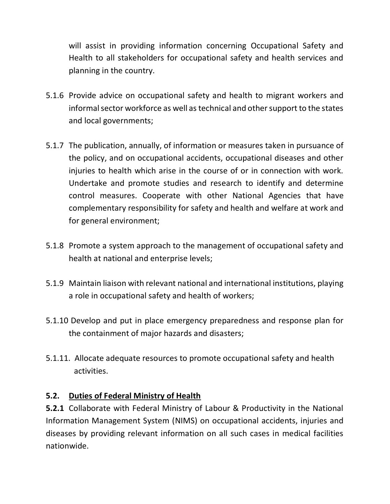will assist in providing information concerning Occupational Safety and Health to all stakeholders for occupational safety and health services and planning in the country.

- 5.1.6 Provide advice on occupational safety and health to migrant workers and informal sector workforce as well as technical and other support to the states and local governments;
- 5.1.7 The publication, annually, of information or measures taken in pursuance of the policy, and on occupational accidents, occupational diseases and other injuries to health which arise in the course of or in connection with work. Undertake and promote studies and research to identify and determine control measures. Cooperate with other National Agencies that have complementary responsibility for safety and health and welfare at work and for general environment;
- 5.1.8 Promote a system approach to the management of occupational safety and health at national and enterprise levels;
- 5.1.9 Maintain liaison with relevant national and international institutions, playing a role in occupational safety and health of workers;
- 5.1.10 Develop and put in place emergency preparedness and response plan for the containment of major hazards and disasters;
- 5.1.11. Allocate adequate resources to promote occupational safety and health activities.

#### **5.2. Duties of Federal Ministry of Health**

**5.2.1** Collaborate with Federal Ministry of Labour & Productivity in the National Information Management System (NIMS) on occupational accidents, injuries and diseases by providing relevant information on all such cases in medical facilities nationwide.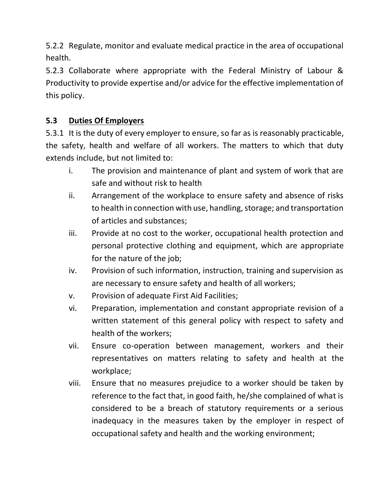5.2.2 Regulate, monitor and evaluate medical practice in the area of occupational health.

5.2.3 Collaborate where appropriate with the Federal Ministry of Labour & Productivity to provide expertise and/or advice for the effective implementation of this policy.

# **5.3 Duties Of Employers**

5.3.1 It is the duty of every employer to ensure, so far as is reasonably practicable, the safety, health and welfare of all workers. The matters to which that duty extends include, but not limited to:

- i. The provision and maintenance of plant and system of work that are safe and without risk to health
- ii. Arrangement of the workplace to ensure safety and absence of risks to health in connection with use, handling, storage; and transportation of articles and substances;
- iii. Provide at no cost to the worker, occupational health protection and personal protective clothing and equipment, which are appropriate for the nature of the job;
- iv. Provision of such information, instruction, training and supervision as are necessary to ensure safety and health of all workers;
- v. Provision of adequate First Aid Facilities;
- vi. Preparation, implementation and constant appropriate revision of a written statement of this general policy with respect to safety and health of the workers;
- vii. Ensure co-operation between management, workers and their representatives on matters relating to safety and health at the workplace;
- viii. Ensure that no measures prejudice to a worker should be taken by reference to the fact that, in good faith, he/she complained of what is considered to be a breach of statutory requirements or a serious inadequacy in the measures taken by the employer in respect of occupational safety and health and the working environment;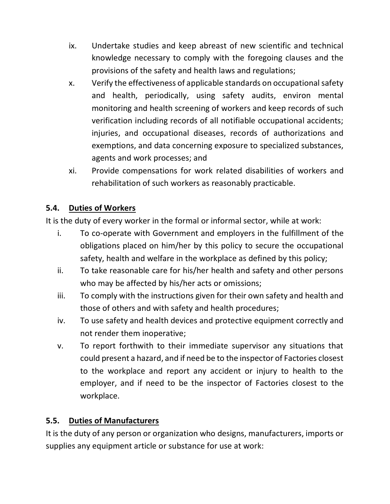- ix. Undertake studies and keep abreast of new scientific and technical knowledge necessary to comply with the foregoing clauses and the provisions of the safety and health laws and regulations;
- x. Verify the effectiveness of applicable standards on occupational safety and health, periodically, using safety audits, environ mental monitoring and health screening of workers and keep records of such verification including records of all notifiable occupational accidents; injuries, and occupational diseases, records of authorizations and exemptions, and data concerning exposure to specialized substances, agents and work processes; and
- xi. Provide compensations for work related disabilities of workers and rehabilitation of such workers as reasonably practicable.

# **5.4. Duties of Workers**

It is the duty of every worker in the formal or informal sector, while at work:

- i. To co-operate with Government and employers in the fulfillment of the obligations placed on him/her by this policy to secure the occupational safety, health and welfare in the workplace as defined by this policy;
- ii. To take reasonable care for his/her health and safety and other persons who may be affected by his/her acts or omissions;
- iii. To comply with the instructions given for their own safety and health and those of others and with safety and health procedures;
- iv. To use safety and health devices and protective equipment correctly and not render them inoperative;
- v. To report forthwith to their immediate supervisor any situations that could present a hazard, and if need be to the inspector of Factories closest to the workplace and report any accident or injury to health to the employer, and if need to be the inspector of Factories closest to the workplace.

# **5.5. Duties of Manufacturers**

It is the duty of any person or organization who designs, manufacturers, imports or supplies any equipment article or substance for use at work: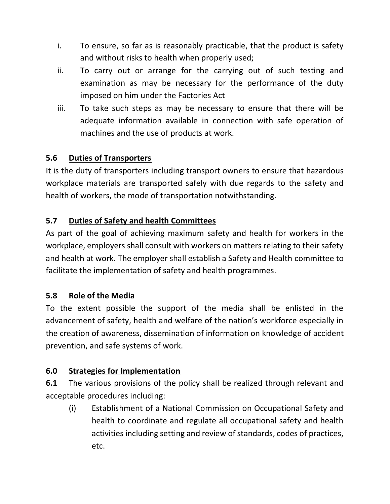- i. To ensure, so far as is reasonably practicable, that the product is safety and without risks to health when properly used;
- ii. To carry out or arrange for the carrying out of such testing and examination as may be necessary for the performance of the duty imposed on him under the Factories Act
- iii. To take such steps as may be necessary to ensure that there will be adequate information available in connection with safe operation of machines and the use of products at work.

# **5.6 Duties of Transporters**

It is the duty of transporters including transport owners to ensure that hazardous workplace materials are transported safely with due regards to the safety and health of workers, the mode of transportation notwithstanding.

# **5.7 Duties of Safety and health Committees**

As part of the goal of achieving maximum safety and health for workers in the workplace, employers shall consult with workers on matters relating to their safety and health at work. The employer shall establish a Safety and Health committee to facilitate the implementation of safety and health programmes.

# **5.8 Role of the Media**

To the extent possible the support of the media shall be enlisted in the advancement of safety, health and welfare of the nation's workforce especially in the creation of awareness, dissemination of information on knowledge of accident prevention, and safe systems of work.

# **6.0 Strategies for Implementation**

**6.1** The various provisions of the policy shall be realized through relevant and acceptable procedures including:

(i) Establishment of a National Commission on Occupational Safety and health to coordinate and regulate all occupational safety and health activities including setting and review of standards, codes of practices, etc.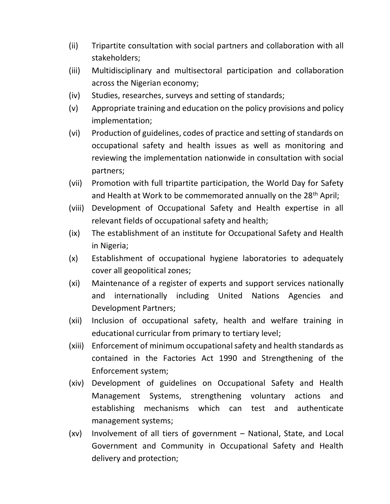- (ii) Tripartite consultation with social partners and collaboration with all stakeholders;
- (iii) Multidisciplinary and multisectoral participation and collaboration across the Nigerian economy;
- (iv) Studies, researches, surveys and setting of standards;
- (v) Appropriate training and education on the policy provisions and policy implementation;
- (vi) Production of guidelines, codes of practice and setting of standards on occupational safety and health issues as well as monitoring and reviewing the implementation nationwide in consultation with social partners;
- (vii) Promotion with full tripartite participation, the World Day for Safety and Health at Work to be commemorated annually on the 28<sup>th</sup> April;
- (viii) Development of Occupational Safety and Health expertise in all relevant fields of occupational safety and health;
- (ix) The establishment of an institute for Occupational Safety and Health in Nigeria;
- (x) Establishment of occupational hygiene laboratories to adequately cover all geopolitical zones;
- (xi) Maintenance of a register of experts and support services nationally and internationally including United Nations Agencies and Development Partners;
- (xii) Inclusion of occupational safety, health and welfare training in educational curricular from primary to tertiary level;
- (xiii) Enforcement of minimum occupational safety and health standards as contained in the Factories Act 1990 and Strengthening of the Enforcement system;
- (xiv) Development of guidelines on Occupational Safety and Health Management Systems, strengthening voluntary actions and establishing mechanisms which can test and authenticate management systems;
- (xv) Involvement of all tiers of government National, State, and Local Government and Community in Occupational Safety and Health delivery and protection;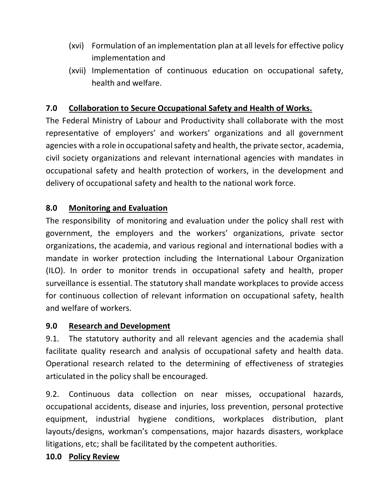- (xvi) Formulation of an implementation plan at all levels for effective policy implementation and
- (xvii) Implementation of continuous education on occupational safety, health and welfare.

# **7.0 Collaboration to Secure Occupational Safety and Health of Works.**

The Federal Ministry of Labour and Productivity shall collaborate with the most representative of employers' and workers' organizations and all government agencies with a role in occupational safety and health, the private sector, academia, civil society organizations and relevant international agencies with mandates in occupational safety and health protection of workers, in the development and delivery of occupational safety and health to the national work force.

#### **8.0 Monitoring and Evaluation**

The responsibility of monitoring and evaluation under the policy shall rest with government, the employers and the workers' organizations, private sector organizations, the academia, and various regional and international bodies with a mandate in worker protection including the International Labour Organization (ILO). In order to monitor trends in occupational safety and health, proper surveillance is essential. The statutory shall mandate workplaces to provide access for continuous collection of relevant information on occupational safety, health and welfare of workers.

#### **9.0 Research and Development**

9.1. The statutory authority and all relevant agencies and the academia shall facilitate quality research and analysis of occupational safety and health data. Operational research related to the determining of effectiveness of strategies articulated in the policy shall be encouraged.

9.2. Continuous data collection on near misses, occupational hazards, occupational accidents, disease and injuries, loss prevention, personal protective equipment, industrial hygiene conditions, workplaces distribution, plant layouts/designs, workman's compensations, major hazards disasters, workplace litigations, etc; shall be facilitated by the competent authorities.

#### **10.0 Policy Review**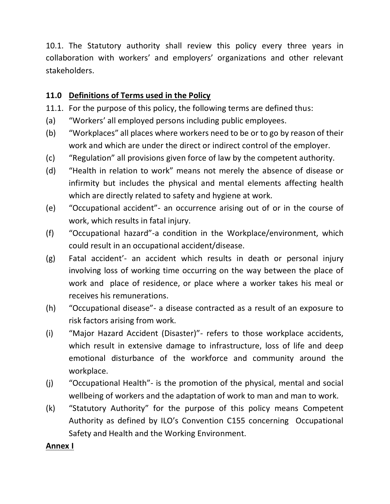10.1. The Statutory authority shall review this policy every three years in collaboration with workers' and employers' organizations and other relevant stakeholders.

# **11.0 Definitions of Terms used in the Policy**

- 11.1. For the purpose of this policy, the following terms are defined thus:
- (a) "Workers' all employed persons including public employees.
- (b) "Workplaces" all places where workers need to be or to go by reason of their work and which are under the direct or indirect control of the employer.
- (c) "Regulation" all provisions given force of law by the competent authority.
- (d) "Health in relation to work" means not merely the absence of disease or infirmity but includes the physical and mental elements affecting health which are directly related to safety and hygiene at work.
- (e) "Occupational accident"- an occurrence arising out of or in the course of work, which results in fatal injury.
- (f) "Occupational hazard"-a condition in the Workplace/environment, which could result in an occupational accident/disease.
- (g) Fatal accident'- an accident which results in death or personal injury involving loss of working time occurring on the way between the place of work and place of residence, or place where a worker takes his meal or receives his remunerations.
- (h) "Occupational disease"- a disease contracted as a result of an exposure to risk factors arising from work.
- (i) "Major Hazard Accident (Disaster)"- refers to those workplace accidents, which result in extensive damage to infrastructure, loss of life and deep emotional disturbance of the workforce and community around the workplace.
- (j) "Occupational Health"- is the promotion of the physical, mental and social wellbeing of workers and the adaptation of work to man and man to work.
- (k) "Statutory Authority" for the purpose of this policy means Competent Authority as defined by ILO's Convention C155 concerning Occupational Safety and Health and the Working Environment.

# **Annex I**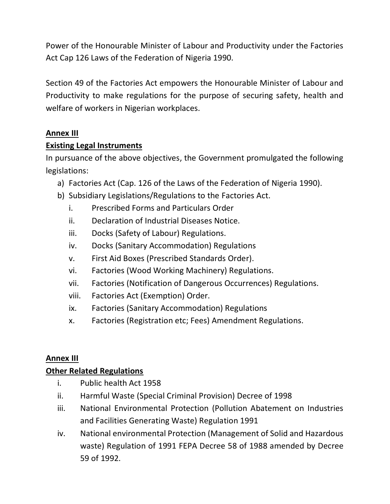Power of the Honourable Minister of Labour and Productivity under the Factories Act Cap 126 Laws of the Federation of Nigeria 1990.

Section 49 of the Factories Act empowers the Honourable Minister of Labour and Productivity to make regulations for the purpose of securing safety, health and welfare of workers in Nigerian workplaces.

# **Annex III**

#### **Existing Legal Instruments**

In pursuance of the above objectives, the Government promulgated the following legislations:

- a) Factories Act (Cap. 126 of the Laws of the Federation of Nigeria 1990).
- b) Subsidiary Legislations/Regulations to the Factories Act.
	- i. Prescribed Forms and Particulars Order
	- ii. Declaration of Industrial Diseases Notice.
	- iii. Docks (Safety of Labour) Regulations.
	- iv. Docks (Sanitary Accommodation) Regulations
	- v. First Aid Boxes (Prescribed Standards Order).
	- vi. Factories (Wood Working Machinery) Regulations.
	- vii. Factories (Notification of Dangerous Occurrences) Regulations.
	- viii. Factories Act (Exemption) Order.
	- ix. Factories (Sanitary Accommodation) Regulations
	- x. Factories (Registration etc; Fees) Amendment Regulations.

# **Annex III**

# **Other Related Regulations**

- i. Public health Act 1958
- ii. Harmful Waste (Special Criminal Provision) Decree of 1998
- iii. National Environmental Protection (Pollution Abatement on Industries and Facilities Generating Waste) Regulation 1991
- iv. National environmental Protection (Management of Solid and Hazardous waste) Regulation of 1991 FEPA Decree 58 of 1988 amended by Decree 59 of 1992.